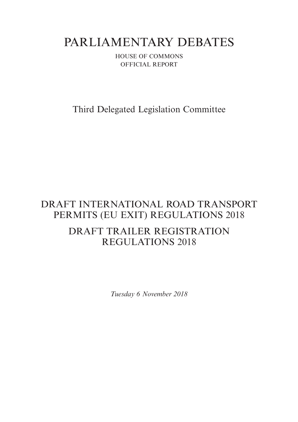# PARLIAMENTARY DEBATES

HOUSE OF COMMONS OFFICIAL REPORT

Third Delegated Legislation Committee

## DRAFT INTERNATIONAL ROAD TRANSPORT PERMITS (EU EXIT) REGULATIONS 2018 DRAFT TRAILER REGISTRATION REGULATIONS 2018

*Tuesday 6 November 2018*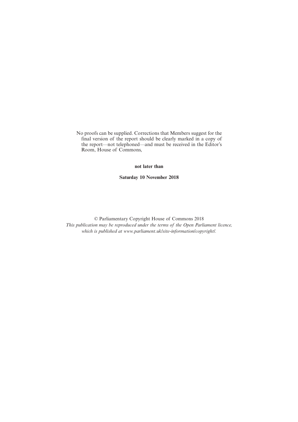No proofs can be supplied. Corrections that Members suggest for the final version of the report should be clearly marked in a copy of the report—not telephoned—and must be received in the Editor's Room, House of Commons,

#### **not later than**

**Saturday 10 November 2018**

© Parliamentary Copyright House of Commons 2018 *This publication may be reproduced under the terms of the Open Parliament licence, which is published at www.parliament.uk/site-information/copyright/.*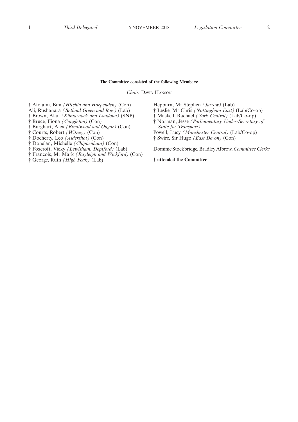#### **The Committee consisted of the following Members:**

*Chair:* DAVID HANSON

† Afolami, Bim *(Hitchin and Harpenden)* (Con)

- Ali, Rushanara *(Bethnal Green and Bow)* (Lab)
- † Brown, Alan *(Kilmarnock and Loudoun)* (SNP)
- † Bruce, Fiona *(Congleton)* (Con)
- † Burghart, Alex *(Brentwood and Ongar)* (Con)
- † Courts, Robert *(Witney)* (Con)
- † Docherty, Leo *(Aldershot)* (Con)
- † Donelan, Michelle *(Chippenham)* (Con)
- † Foxcroft, Vicky *(Lewisham, Deptford)* (Lab)
- † Francois, Mr Mark *(Rayleigh and Wickford)* (Con)
- † George, Ruth *(High Peak)* (Lab)
- Hepburn, Mr Stephen *(Jarrow)* (Lab)
- † Leslie, Mr Chris *(Nottingham East)* (Lab/Co-op)
- † Maskell, Rachael *(York Central)* (Lab/Co-op)
- † Norman, Jesse *(Parliamentary Under-Secretary of State for Transport)*
- Powell, Lucy *(Manchester Central)* (Lab/Co-op)

† Swire, Sir Hugo *(East Devon)* (Con)

Dominic Stockbridge, Bradley Albrow, *Committee Clerks*

#### **† attended the Committee**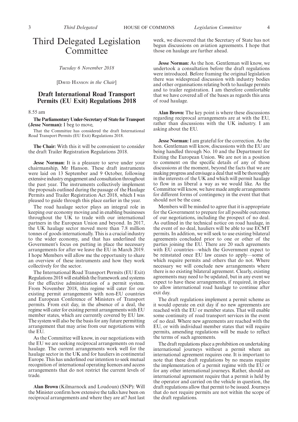### Third Delegated Legislation Committee

*Tuesday 6 November 2018*

[DAVID HANSON *in the Chair*]

### **Draft International Road Transport Permits (EU Exit) Regulations 2018**

8.55 am

**The Parliamentary Under-Secretary of State for Transport (Jesse Norman):** I beg to move,

That the Committee has considered the draft International Road Transport Permits (EU Exit) Regulations 2018.

**The Chair:** With this it will be convenient to consider the draft Trailer Registration Regulations 2018.

**Jesse Norman:** It is a pleasure to serve under your chairmanship, Mr Hanson. These draft instruments were laid on 13 September and 9 October, following extensive industry engagement and consultation throughout the past year. The instruments collectively implement the proposals outlined during the passage of the Haulage Permits and Trailer Registration Act 2018, which I was pleased to guide through this place earlier in the year.

The road haulage sector plays an integral role in keeping our economy moving and in enabling businesses throughout the UK to trade with our international partners in the European Union and beyond. In 2017, the UK haulage sector moved more than 7.8 million tonnes of goods internationally. This is a crucial industry to the wider economy, and that has underlined the Government's focus on putting in place the necessary arrangements for after we leave the EU in March 2019. I hope Members will allow me the opportunity to share an overview of these instruments and how they work collectively for the sector.

The International Road Transport Permits (EU Exit) Regulations 2018 will establish the framework and systems for the effective administration of a permit system. From November 2018, this regime will cater for our existing permit arrangements with non-EU countries and European Conference of Ministers of Transport permits. From exit day, in the absence of a deal, the regime will cater for existing permit arrangements with EU member states, which are currently covered by EU law. The system will also be the basis for any future permitting arrangement that may arise from our negotiations with the EU.

As the Committee will know, in our negotiations with the EU we are seeking reciprocal arrangements on road haulage. The current arrangements work well for the haulage sector in the UK and for hauliers in continental Europe. This has underlined our intention to seek mutual recognition of international operating licences and access arrangements that do not restrict the current levels of trade.

**Alan Brown** (Kilmarnock and Loudoun) (SNP): Will the Minister confirm how extensive the talks have been on reciprocal arrangements and where they are at? Just last week, we discovered that the Secretary of State has not begun discussions on aviation agreements. I hope that those on haulage are further ahead.

**Jesse Norman:** As the hon. Gentleman will know, we undertook a consultation before the draft regulations were introduced. Before framing the original legislation there was widespread discussion with industry bodies and other organisations relating both to haulage permits and to trailer registration. I am therefore comfortable that we have covered all of the bases as regards this area of road haulage.

**Alan Brown:** The key point is where these discussions regarding reciprocal arrangements are at with the EU, rather than discussions with the UK industry. I am asking about the EU.

**Jesse Norman:** I am grateful for the correction. As the hon. Gentleman will know, discussions with the EU are being handled through No. 10 and the Department for Exiting the European Union. We are not in a position to comment on the specific details of any of those discussions at the moment, beyond the facts that we are making progress and envisage a deal that will be thoroughly in the interests of the UK and which will permit haulage to flow in as liberal a way as we would like. As the Committee will know, we have made ample arrangements for different forms of contingency in the event that that should not be the case.

Members will be minded to agree that it is appropriate for the Government to prepare for all possible outcomes of our negotiations, including the prospect of no deal. As outlined in the technical notice on road haulage, in the event of no deal, hauliers will be able to use ECMT permits. In addition, we will seek to use existing bilateral agreements concluded prior to one or other of the parties joining the EU. There are 20 such agreements with EU countries—which the Government expect to be reinstated once EU law ceases to apply—some of which require permits and others that do not. Where necessary we will conclude new arrangements where there is no existing bilateral agreement. Clearly, existing agreements may need to be updated, but in any event we expect to have these arrangements, if required, in place to allow international road haulage to continue after exit day.

The draft regulations implement a permit scheme as it would operate on exit day if no new agreements are reached with the EU or member states. That will enable some continuity of road transport services in the event of no deal. Where new agreements are reached with the EU, or with individual member states that will require permits, amending regulations will be made to reflect the terms of such agreements.

The draft regulations place a prohibition on undertaking international journeys without a permit where an international agreement requires one. It is important to note that these draft regulations by no means require the implementation of a permit regime with the EU or for any other international journeys. Rather, should an international agreement require that a permit is held by the operator and carried on the vehicle in question, the draft regulations allow that permit to be issued. Journeys that do not require permits are not within the scope of the draft regulations.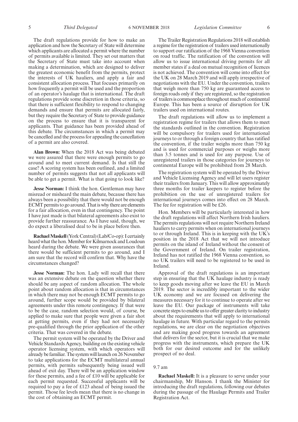The draft regulations provide for how to make an application and how the Secretary of State will determine which applicants are allocated a permit where the number of permits available is limited. They set out matters that the Secretary of State must take into account when making a determination, which are designed to deliver the greatest economic benefit from the permits, protect the interests of UK hauliers, and apply a fair and consistent allocation process. That focuses primarily on how frequently a permit will be used and the proportion of an operator's haulage that is international. The draft regulations provide some discretion in those criteria, so that there is sufficient flexibility to respond to changing demands and ensure that permits are allocated fairly, but they require the Secretary of State to provide guidance on the process to ensure that it is transparent for applicants. That guidance has been provided ahead of this debate. The circumstances in which a permit may be cancelled and the process for appealing the cancellation of a permit are also covered.

**Alan Brown:** When the 2018 Act was being debated we were assured that there were enough permits to go around and to meet current demand. Is that still the case? A scoring system has been outlined, and a limited number of permits suggests that not all applicants will be able to get a permit. What is that going to look like?

**Jesse Norman:** I think the hon. Gentleman may have misread or misheard the main debate, because there has always been a possibility that there would not be enough ECMT permits to go around. That is why there are elements for a fair allocation, even in that contingency. The point I have just made is that bilateral agreements also exist to provide further reassurance. As I have said, though, we do expect a liberalised deal to be in place before then.

**Rachael Maskell**(York Central) (Lab/Co-op): I certainly heard what the hon. Member for Kilmarnock and Loudoun heard during the debate. We were given assurances that there would be sufficient permits to go around, and I am sure that the record will confirm that. Why have the circumstances changed?

**Jesse Norman:** The hon. Lady will recall that there was an extensive debate on the question whether there should be any aspect of random allocation. The whole point about random allocation is that in circumstances in which there may not be enough ECMT permits to go around, further scope would be provided by bilateral agreements under this remote contingency. If that were to be the case, random selection would, of course, be applied to make sure that people were given a fair shot at getting permits, even if they had not necessarily pre-qualified through the prior application of the other criteria. That was covered in the debate.

The permit system will be operated by the Driver and Vehicle Standards Agency, building on the existing vehicle operator licensing system, with which operators will already be familiar. The system will launch on 26 November to take applications for the ECMT multilateral annual permits, with permits subsequently being issued well ahead of exit day. There will be an application window for these permits, and a fee of £10 will be applicable for each permit requested. Successful applicants will be required to pay a fee of £123 ahead of being issued the permit. Those fee levels mean that there is no change in the cost of obtaining an ECMT permit.

The Trailer Registration Regulations 2018 will establish a regime for the registration of trailers used internationally to support our ratification of the 1968 Vienna convention on road traffic. The ratification of the convention will allow us to issue international driving permits for all member states if a deal on mutual recognition of licences is not achieved. The convention will come into effect for the UK on 28 March 2019 and will apply irrespective of negotiations with the EU. Under the convention, trailers that weigh more than 750 kg are guaranteed access to foreign roads only if they are registered, so the registration of trailers is commonplace throughout much of continental Europe. This has been a source of disruption for UK trailers used on international routes.

The draft regulations will allow us to implement a registration regime for trailers that allows them to meet the standards outlined in the convention. Registration will be compulsory for trailers used for international journeys to or through a foreign country that has ratified the convention, if the trailer weighs more than 750 kg and is used for commercial purposes or weighs more than 3.5 tonnes and is used for any purpose. Use of unregistered trailers in those categories for journeys to continental Europe will be prohibited from 28 March.

The registration system will be operated by the Driver and Vehicle Licensing Agency and will let users register their trailers from January. This will allow approximately three months for trailer keepers to register before the prohibition on the use of unregistered trailers for international journeys comes into effect on 28 March. The fee for registration will be £26.

Hon. Members will be particularly interested in how the draft regulations will affect Northern Irish hauliers. The permits regulations will not require Northern Ireland hauliers to carry permits when on international journeys to or through Ireland. This is in keeping with the UK's position in the 2018 Act that we will not introduce permits on the island of Ireland without the consent of the Government of Ireland. On trailer registration, Ireland has not ratified the 1968 Vienna convention, so no UK trailers will need to be registered to be used in Ireland.

Approval of the draft regulations is an important step in ensuring that the UK haulage industry is ready to keep goods moving after we leave the EU in March 2019. The sector is incredibly important to the wider UK economy and we are focused on delivering the measures necessary for it to continue to operate after we leave the EU. Our package of instruments will take concrete steps to enable us to offer greater clarity to industry about the requirements that will apply to international haulage in future. With particular regard to the permits regulations, we are clear on the negotiation objectives and are making good progress towards an agreement that delivers for the sector, but it is crucial that we make progress with the instruments, which prepare the UK both for our desired outcome and for the unlikely prospect of no deal.

#### 9.7 am

**Rachael Maskell:** It is a pleasure to serve under your chairmanship, Mr Hanson. I thank the Minister for introducing the draft regulations, following our debates during the passage of the Haulage Permits and Trailer Registration Act.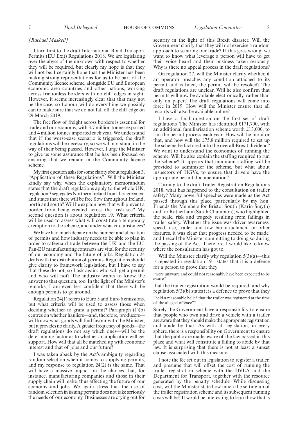#### *[Rachael Maskell]*

I turn first to the draft International Road Transport Permits (EU Exit) Regulations 2018. We are legislating over the abyss of the unknown with respect to whether they will be required, but clearly my hope is that they will not be. I certainly hope that the Minister has been making strong representations for us to be part of the Community licence scheme, alongside EU and European economic area countries and other nations, working across frictionless borders with no cliff edges in sight. However, it seems increasingly clear that that may not be the case, so Labour will do everything we possibly can to make sure that we do not fall off the cliff edge on 29 March 2019.

The free flow of freight across borders is essential for trade and our economy, with 3.7 million tonnes exported and 4 million tonnes imported each year. We understand that if the worst-case scenario is triggered, the draft regulations will be necessary, so we will not stand in the way of their being passed. However, I urge the Minister to give us some assurance that he has been focused on ensuring that we remain in the Community licence scheme.

My first question asks for some clarity about regulation 3, "Application of these Regulations". Will the Minister kindly say why, when the explanatory memorandum states that the draft regulations apply to the whole UK, regulation 3 segregates Northern Ireland from the agreement and states that there will be free flow throughout Ireland, north and south? Will he explain how that will prevent a border from being created across the Irish sea? My second question is about regulation 19. What criteria will be used to assess what will constitute a temporary exemption to the scheme, and under what circumstances?

We have had much debate on the number and allocation of permits and how industry needs to be able to plan in order to safeguard trade between the UK and the EU. Pan-EU manufacturing contracts are vital for the security of our economy and the future of jobs. Regulation 24 deals with the distribution of permits. Regulations should give clarity to framework legislation, but I have to say that these do not, so I ask again: who will get a permit and who will not? The industry wants to know the answer to that question, too. In the light of the Minister's remarks, I am even less confident that there will be enough permits to go around.

Regulation 24(1) refers to Euro 5 and Euro 6 emissions, but what criteria will be used to assess those when deciding whether to grant a permit? Paragraph (1)(b) centres on whether hauliers—and, therefore, producers will know what goods will find favour with the Minister, but it provides no clarity. A greater frequency of goods—the draft regulations do not say which ones—will be the determining factor as to whether an application will get support. How will that all be matched up with economic interest and that of jobs and our future?

I was taken aback by the Act's ambiguity regarding random selection when it comes to supplying permits, and my response to regulation 24(2) is the same. That will have a massive impact on the choices that, for instance, manufacturing companies and those in their supply chain will make, thus affecting the future of our economy and jobs. We again stress that the use of random selection in issuing permits does not take seriously the needs of our economy. Businesses are crying out for

security in the light of this Brexit disaster. Will the Government clarify that they will not exercise a random approach to securing our trade? If this goes wrong, we want to know what leverage a person will have to get their voice heard and their business taken seriously. Why is there no appeal process in the draft regulations?

On regulation 27, will the Minister clarify whether, if an operator breaches any condition attached to its permit and is fined, the permit will be revoked? The draft regulations are unclear. Will he also confirm that permits will now be available electronically, rather than only on paper? The draft regulations will come into force in 2019. How will the Minister ensure that all records will also be available online?

I have a final question on the first set of draft regulations. The Minister has identified £171,700, with an additional familiarisation scheme worth £13,000, to run the permit process each year. How will he monitor that, and how will the £75.8 million required to set up the scheme be factored into the overall Brexit dividend? We want to understand the economics of running the scheme. Will he also explain the staffing required to run the scheme? It appears that minimum staffing will be provided to administer the scheme, but what about inspectors of HGVs, to ensure that drivers have the appropriate permit documentation?

Turning to the draft Trailer Registration Regulations 2018, what has happened to the consultation on trailer safety? Many powerful speeches were made as the Act passed through this place, particularly by my hon. Friends the Members for Bristol South (Karin Smyth) and for Rotherham (Sarah Champion), who highlighted the scale, risk and tragedy resulting from failings in trailer safety. Whether the issue was driver awareness, speed, use, trailer and tow bar attachment or other features, it was clear that progress needed to be made, and I recall the Minister committing to doing so during the passing of the Act. Therefore, I would like to know where the consultation has got to.

Will the Minister clarify why regulation  $5(3)(a)$ —this is repeated in regulation 19—states that it is a defence for a person to prove that they

"were unaware and could not reasonably have been expected to be aware"

that the trailer registration would be required, and why regulation  $5(3)(b)$  states it is a defence to prove that they "held a reasonable belief that the trailer was registered at the time of the alleged offence"?

Surely the Government have a responsibility to ensure that people who own and drive a vehicle with a trailer are aware that they should make the appropriate registration and abide by that. As with all legislation, in every sphere, there is a responsibility on Government to ensure that the public are made aware of the law passed in this place and what will constitute a failing to abide by that law. It is surprising that there is not at least a sunset clause associated with this measure.

I note the fee set out in legislation to register a trailer, and presume that will offset the cost of running the trailer registration scheme with the DVLA and the Department for Transport, together with the resource generated by the penalty schedule. While discussing cost, will the Minister state how much the setting up of the trailer registration scheme and its subsequent running costs will be? It would be interesting to learn how that is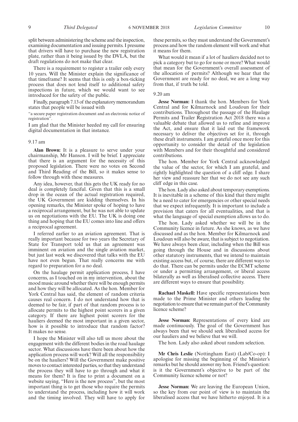split between administering the scheme and the inspection, examining documentation and issuing permits. I presume that drivers will have to purchase the new registration plate, rather than it being issued by the DVLA, but the draft regulations do not make that clear.

There is a requirement to register a trailer only every 10 years. Will the Minister explain the significance of that timeframe? It seems that this is only a box-ticking process that does not lend itself to additional safety inspections in future, which we would want to see introduced for the safety of the public.

Finally, paragraph 7.13 of the explanatory memorandum states that people will be issued with

"a secure paper registration document and an electronic notice of registration".

I am glad that the Minister heeded my call for ensuring digital documentation in that instance.

#### 9.17 am

**Alan Brown:** It is a pleasure to serve under your chairmanship, Mr Hanson. I will be brief. I appreciate that there is an argument for the necessity of this proposed legislation. There were no votes on Second and Third Reading of the Bill, so it makes sense to follow through with these measures.

Any idea, however, that this gets the UK ready for no deal is completely fanciful. Given that this is a small drop in the ocean of the actual registration required, the UK Government are kidding themselves. In his opening remarks, the Minister spoke of hoping to have a reciprocal arrangement, but he was not able to update us on negotiations with the EU. The UK is doing one thing and hoping that the EU comes into line and offers a reciprocal agreement.

I referred earlier to an aviation agreement. That is really important because for two years the Secretary of State for Transport told us that an agreement was imminent on aviation and the single aviation market, but just last week we discovered that talks with the EU have not even begun. That really concerns me with regard to preparation for a no deal.

On the haulage permit application process, I have concerns, as I touched on in my intervention, about the mood music around whether there will be enough permits and how they will be allocated. As the hon. Member for York Central has said, the element of random criteria causes real concern. I do not understand how that is deemed to be fair, if part of that random process is to allocate permits to the highest point scorers in a given category. If there are highest point scorers for the hauliers deemed the most important in a given sector, how is it possible to introduce that random factor? It makes no sense.

I hope the Minister will also tell us more about the engagement with the different bodies in the road haulage sector. What discussions have there been about how the application process will work? Will all the responsibility be on the hauliers? Will the Government make positive moves to contact interested parties, so that they understand the process they will have to go through and what it means for them? It is fine to print a document on a website saying, "Here is the new process", but the most important thing is to get those who require the permits to understand the process, including how it will work and the timing involved. They will have to apply for these permits, so they must understand the Government's process and how the random element will work and what it means for them.

What would it mean if a lot of hauliers decided not to pick a category but to go for none or more? What would that mean for the Government's overall assessment of the allocation of permits? Although we hear that the Government are ready for no deal, we are a long way from that, if truth be told.

#### 9.20 am

**Jesse Norman:** I thank the hon. Members for York Central and for Kilmarnock and Loudoun for their contributions. Throughout the passage of the Haulage Permits and Trailer Registration Act 2018 there was a valuable debate that allowed us to refine and improve the Act, and ensure that it laid out the framework necessary to deliver the objectives set for it, through these draft instruments. I am grateful once more for this opportunity to consider the detail of the legislation with Members and for their thoughtful and considered contributions.

The hon. Member for York Central acknowledged the value of the sector, for which I am grateful, and rightly highlighted the question of a cliff edge. I share her view and reassure her that we do not see any such cliff edge in this case.

The hon. Lady also asked about temporary exemptions. It is inevitable in a scheme of this kind that there might be a need to cater for emergencies or other special needs that we expect infrequently. It is important to include a provision that caters for all eventualities, and that is what the language of special exemption allows us to do.

The hon. Lady asked whether we will be in the Community licence in future. As she knows, as we have discussed and as the hon. Member for Kilmarnock and Loudoun will also be aware, that is subject to negotiation. We have always been clear, including when the Bill was going through the House and in discussions about other statutory instruments, that we intend to maintain existing access but, of course, there are different ways to do that. There can be permits under the ECMT scheme or under a permitting arrangement, or liberal access bilaterally as well as liberalised collective access. There are different ways to ensure that possibility.

**Rachael Maskell:** Have specific representations been made to the Prime Minister and others leading the negotiation to ensure that we remain part of the Community licence scheme?

**Jesse Norman:** Representations of every kind are made continuously. The goal of the Government has always been that we should seek liberalised access for our hauliers and we believe that we will.

The hon. Lady also asked about random selection.

**Mr Chris Leslie** (Nottingham East) (Lab/Co-op): I apologise for missing the beginning of the Minister's remarks but he should answer my hon. Friend's question: is it the Government's objective to be part of the Community licence scheme or not?

**Jesse Norman:** We are leaving the European Union, so the key from our point of view is to maintain the liberalised access that we have hitherto enjoyed. It is a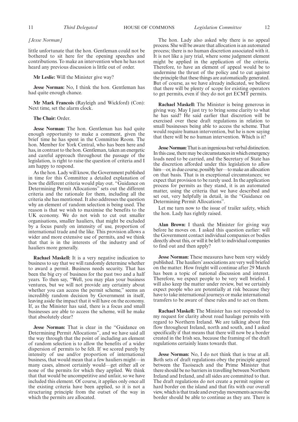#### *[Jesse Norman]*

little unfortunate that the hon. Gentleman could not be bothered to sit here for the opening speeches and contributions. To make an intervention when he has not heard any previous discussion is little out of order.

**Mr Leslie:** Will the Minister give way?

**Jesse Norman:** No, I think the hon. Gentleman has had quite enough chance.

**Mr Mark Francois** (Rayleigh and Wickford) (Con): Next time, set the alarm clock.

#### **The Chair:** Order.

**Jesse Norman:** The hon. Gentleman has had quite enough opportunity to make a comment, given the brief time he has spent in the Committee Room. The hon. Member for York Central, who has been here and has, in contrast to the hon. Gentleman, taken an energetic and careful approach throughout the passage of the legislation, is right to raise the question of criteria and I am happy to respond.

As the hon. Lady will know, the Government published in time for this Committee a detailed explanation of how the different criteria would play out. "Guidance on Determining Permit Allocations" sets out the different criteria and the rationale for them, including all the criteria she has mentioned. It also addresses the question why an element of random selection is being used. The reason is that we wish to maximise the benefits to the UK economy. We do not wish to cut out smaller organisations, smaller hauliers, that might be excluded by a focus purely on intensity of use, proportion of international trade and the like. This provision allows a wider and more extensive use of permits, and we think that that is in the interests of the industry and of hauliers more generally.

**Rachael Maskell:** It is a very negative indication to business to say that we will randomly determine whether to award a permit. Business needs security. That has been the big cry of business for the past two and a half years. To then say, "Well, you may plan your business ventures, but we will not provide any certainty about whether you can access the permit scheme," seems an incredibly random decision by Government in itself, leaving aside the impact that it will have on the economy. If, as the Minister has said, there is a focus and small businesses are able to access the scheme, will he make that absolutely clear?

**Jesse Norman:** That is clear in the "Guidance on Determining Permit Allocations", and we have said all the way through that the point of including an element of random selection is to allow the benefits of a wider dispersion of permits to be felt. If we scored purely by intensity of use and/or proportion of international business, that would mean that a few hauliers might—in many cases, almost certainly would—get either all or none of the permits for which they applied. We think that that would be uncompetitive and unfair, so we have included this element. Of course, it applies only once all the existing criteria have been applied, so it is not a structuring principle from the outset of the way in which the permits are allocated.

The hon. Lady also asked why there is no appeal process. She will be aware that allocation is an automated process; there is no human discretion associated with it. It is not like a jury trial, where some judgment element might be applied in the application of the criteria. Therefore, to have an element of appeal would be to undermine the thrust of the policy and to cut against the principle that these things are automatically generated. But of course, as we have already indicated, we believe that there will be plenty of scope for existing operators to get permits, even if they do not get ECMT permits.

**Rachael Maskell:** The Minister is being generous in giving way. May I just try to bring some clarity to what he has said? He said earlier that discretion will be exercised over these draft regulations in relation to small businesses being able to access the scheme. That would require human intervention, but he is now saying that there will be no human intervention. Which is it?

**Jesse Norman:**That is an ingenious but verbal distinction. In this case, there may be circumstances in which emergency loads need to be carried, and the Secretary of State has the discretion afforded under this legislation to allow him—or, in due course, possibly her—to make an allocation on that basis. That is in exceptional circumstances; we expect that provision to be rarely used. In the application process for permits as they stand, it is an automated matter, using the criteria that we have described and set out, very helpfully in detail, in the "Guidance on Determining Permit Allocations".

Let me turn now to the issue of trailer safety, which the hon. Lady has rightly raised.

**Alan Brown:** I thank the Minister for giving way before he moves on. I asked this question earlier: will the Government contact individual companies or bodies directly about this, or will it be left to individual companies to find out and then apply?

**Jesse Norman:** These measures have been very widely published. The hauliers' associations are very well briefed on the matter. How freight will continue after 29 March has been a topic of national discussion and interest. Therefore, we expect people to be very well briefed. I will also keep the matter under review, but we certainly expect people who are potentially at risk because they have to take international journeys or make international transfers to be aware of these rules and to act on them.

**Rachael Maskell:** The Minister has not responded to my request for clarity about road haulage permits with regard to Northern Ireland. We are talking about free flow throughout Ireland, north and south, and I asked specifically if that means that there will now be a border created in the Irish sea, because the framing of the draft regulations certainly leans towards that.

**Jesse Norman:** No, I do not think that is true at all. Both sets of draft regulations obey the principle agreed between the Taoiseach and the Prime Minister that there should be no barriers in travelling between Northern Ireland and Ireland, and all sides are committed to that. The draft regulations do not create a permit regime or hard border on the island and that fits with our overall view, which is that trade and everyday movements across the border should be able to continue as they are. There is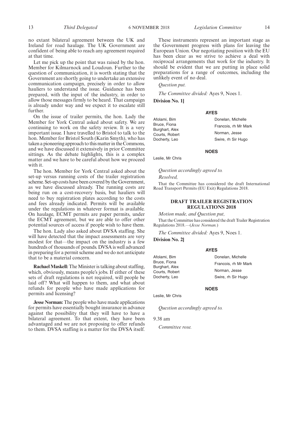no extant bilateral agreement between the UK and Ireland for road haulage. The UK Government are confident of being able to reach any agreement required at that time.

Let me pick up the point that was raised by the hon. Member for Kilmarnock and Loudoun. Further to the question of communication, it is worth stating that the Government are shortly going to undertake an extensive communication campaign, precisely in order to allow hauliers to understand the issue. Guidance has been prepared, with the input of the industry, in order to allow those messages firmly to be heard. That campaign is already under way and we expect it to escalate still further.

On the issue of trailer permits, the hon. Lady the Member for York Central asked about safety. We are continuing to work on the safety review. It is a very important issue. I have travelled to Bristol to talk to the hon. Member for Bristol South (Karin Smyth), who has taken a pioneering approach to this matter in the Commons, and we have discussed it extensively in prior Committee sittings. As the debate highlights, this is a complex matter and we have to be careful about how we proceed with it.

The hon. Member for York Central asked about the set-up versus running costs of the trailer registration scheme. Set-up costs have been covered by the Government, as we have discussed already. The running costs are being run on a cost-recovery basis, but hauliers will need to buy registration plates according to the costs and fees already indicated. Permits will be available under the regulations in whatever format is available. On haulage, ECMT permits are paper permits, under the ECMT agreement, but we are able to offer other potential sources of access if people wish to have them.

The hon. Lady also asked about DVSA staffing. She will have detected that the impact assessments are very modest for that—the impact on the industry is a few hundreds of thousands of pounds. DVSA is well advanced in preparing for a permit scheme and we do not anticipate that to be a material concern.

**Rachael Maskell:** The Minister is talking about staffing, which, obviously, means people's jobs. If either of these sets of draft regulations is not required, will people be laid off? What will happen to them, and what about refunds for people who have made applications for permits and licensing?

**Jesse Norman:** The people who have made applications for permits have essentially bought insurance in advance against the possibility that they will have to have a bilateral agreement. To that extent, they have been advantaged and we are not proposing to offer refunds to them. DVSA staffing is a matter for the DVSA itself.

These instruments represent an important stage as the Government progress with plans for leaving the European Union. Our negotiating position with the EU has been clear as we strive to achieve a deal with reciprocal arrangements that work for the industry. It should be evident that we are putting in place solid preparations for a range of outcomes, including the unlikely event of no deal.

*Question put.*

*The Committee divided:* Ayes 9, Noes 1.

**Division No. 1]**

#### **AYES**

Afolami, Bim Bruce, Fiona Burghart, Alex Courts, Robert Docherty, Leo Donelan, Michelle Francois, rh Mr Mark Norman, Jesse Swire, rh Sir Hugo

**NOES**

Leslie, Mr Chris

*Question accordingly agreed to.*

*Resolved,*

That the Committee has considered the draft International Road Transport Permits (EU Exit) Regulations 2018.

#### **DRAFT TRAILER REGISTRATION REGULATIONS 2018**

*Motion made, and Question put,*

That the Committee has considered the draft Trailer Registration Regulations 2018.—(*Jesse Norman.*)

*The Committee divided:* Ayes 9, Noes 1.

**Division No. 2]**

#### **AYES**

| Afolami, Bim                     | Donelan, Michelle    |
|----------------------------------|----------------------|
| Bruce, Fiona                     | Francois, rh Mr Mark |
| Burghart, Alex<br>Courts, Robert | Norman, Jesse        |
| Docherty, Leo                    | Swire, rh Sir Hugo   |
|                                  |                      |

**NOES**

Leslie, Mr Chris

*Question accordingly agreed to.*

9.38 am

*Committee rose.*